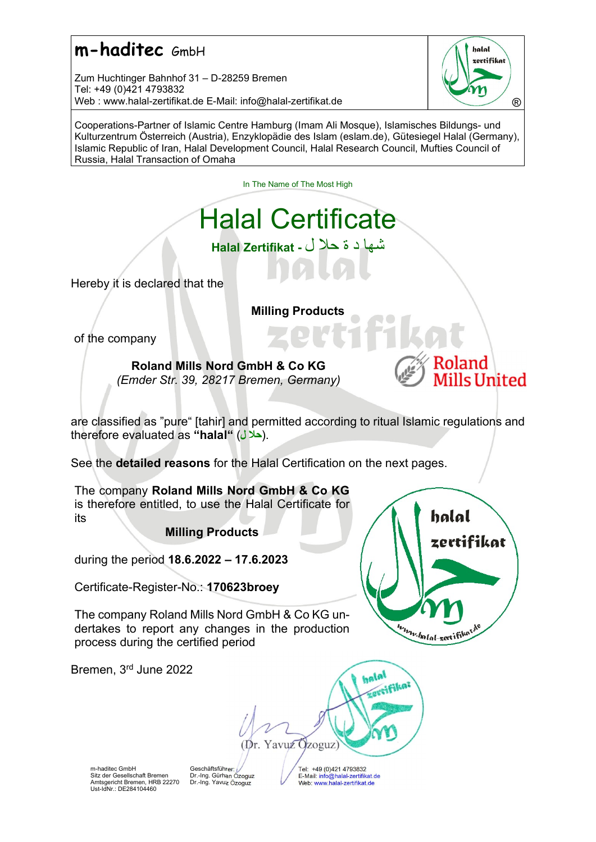Zum Huchtinger Bahnhof 31 – D-28259 Bremen Tel: +49 (0)421 4793832 Web : www.halal-zertifikat.de E-Mail: info@halal-zertifikat.de **Branch Communist Communist Communist** ®



Cooperations-Partner of Islamic Centre Hamburg (Imam Ali Mosque), Islamisches Bildungs- und Kulturzentrum Österreich (Austria), Enzyklopädie des Islam (eslam.de), Gütesiegel Halal (Germany), Islamic Republic of Iran, Halal Development Council, Halal Research Council, Mufties Council of Russia, Halal Transaction of Omaha

In The Name of The Most High

# Halal Certificate

شها د ة حلا ل - Zertifikat Halal

Hereby it is declared that the

Milling Products

of the company

Roland Mills Nord GmbH & Co KG (Emder Str. 39, 28217 Bremen, Germany)



are classified as "pure" [tahir] and permitted according to ritual Islamic regulations and therefore evaluated as "halal" (حلال).

See the detailed reasons for the Halal Certification on the next pages.

The company Roland Mills Nord GmbH & Co KG is therefore entitled, to use the Halal Certificate for its

Milling Products

during the period 18.6.2022 – 17.6.2023

Certificate-Register-No.: 170623broey

The company Roland Mills Nord GmbH & Co KG undertakes to report any changes in the production process during the certified period

Bremen, 3rd June 2022



halal **FRIFIKA?** (Dr. Yavuz Ozoguz)

m-haditec GmbH Sitz der Gesellschaft Bremen Amtsgericht Bremen, HRB 22270 Ust-IdNr.: DE284104460

**Geschäftsführer** Dr.-Ing. Gürhan Özoguz Dr.-Ing. Yavuz Özoguz

Tel: +49 (0)421 4793832 E-Mail: info@halal-zertifikat.de Web: www.halal-zertifikat.de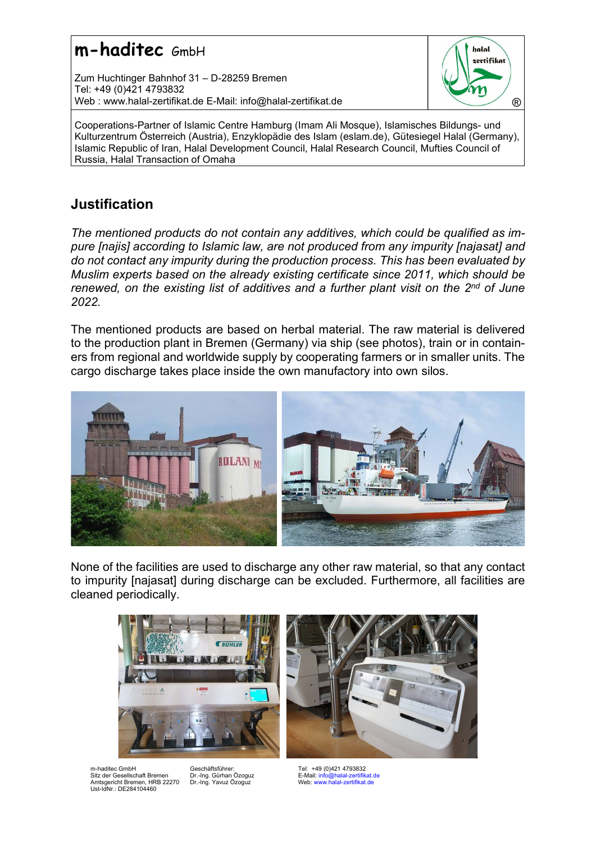Zum Huchtinger Bahnhof 31 – D-28259 Bremen Tel: +49 (0)421 4793832 Web : www.halal-zertifikat.de E-Mail: info@halal-zertifikat.de **Branch Communist Communist Communist** ®



Cooperations-Partner of Islamic Centre Hamburg (Imam Ali Mosque), Islamisches Bildungs- und Kulturzentrum Österreich (Austria), Enzyklopädie des Islam (eslam.de), Gütesiegel Halal (Germany), Islamic Republic of Iran, Halal Development Council, Halal Research Council, Mufties Council of Russia, Halal Transaction of Omaha

### **Justification**

The mentioned products do not contain any additives, which could be qualified as impure [najis] according to Islamic law, are not produced from any impurity [najasat] and do not contact any impurity during the production process. This has been evaluated by Muslim experts based on the already existing certificate since 2011, which should be renewed, on the existing list of additives and a further plant visit on the  $2^{nd}$  of June 2022.

The mentioned products are based on herbal material. The raw material is delivered to the production plant in Bremen (Germany) via ship (see photos), train or in containers from regional and worldwide supply by cooperating farmers or in smaller units. The cargo discharge takes place inside the own manufactory into own silos.



None of the facilities are used to discharge any other raw material, so that any contact to impurity [najasat] during discharge can be excluded. Furthermore, all facilities are cleaned periodically.





m-haditec GmbH Sitz der Gesellschaft Bremen Amtsgericht Bremen, HRB 22270 Ust-IdNr.: DE284104460

Geschäftsführer: Dr.-Ing. Gürhan Özoguz Dr.-Ing. Yavuz Özoguz

Tel: +49 (0)421 4793832 E-Mail: info@halal-zertifikat.de Web: www.halal-zertifikat.de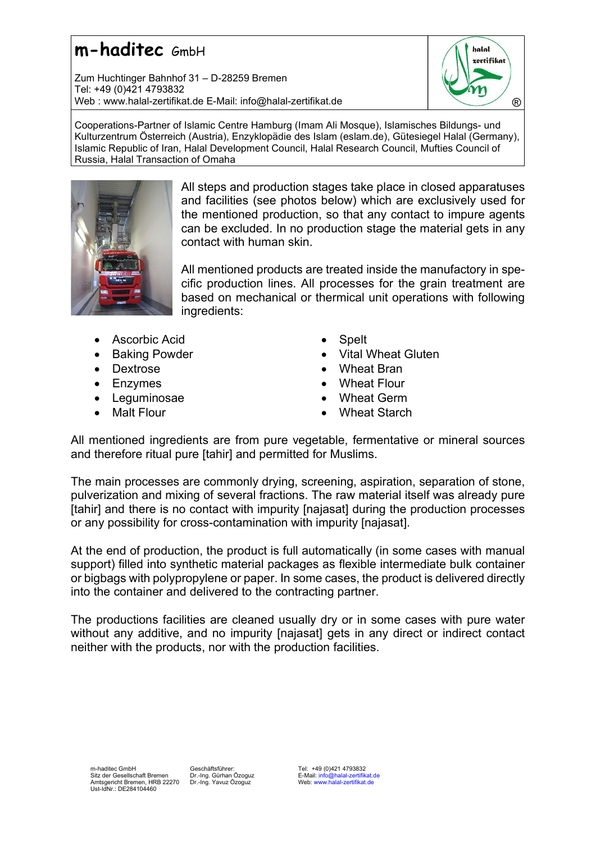Zum Huchtinger Bahnhof 31 – D-28259 Bremen Tel: +49 (0)421 4793832 Web : www.halal-zertifikat.de E-Mail: info@halal-zertifikat.de 
(R)



Cooperations-Partner of Islamic Centre Hamburg (Imam Ali Mosque), Islamisches Bildungs- und Kulturzentrum Österreich (Austria), Enzyklopädie des Islam (eslam.de), Gütesiegel Halal (Germany), Islamic Republic of Iran, Halal Development Council, Halal Research Council, Mufties Council of Russia, Halal Transaction of Omaha



All steps and production stages take place in closed apparatuses and facilities (see photos below) which are exclusively used for the mentioned production, so that any contact to impure agents can be excluded. In no production stage the material gets in any contact with human skin.

All mentioned products are treated inside the manufactory in specific production lines. All processes for the grain treatment are based on mechanical or thermical unit operations with following ingredients:

- Ascorbic Acid
- Baking Powder
- Dextrose
- Enzymes
- Leguminosae
- Malt Flour
- **Spelt**
- Vital Wheat Gluten
- Wheat Bran
- Wheat Flour
- Wheat Germ
- Wheat Starch

All mentioned ingredients are from pure vegetable, fermentative or mineral sources and therefore ritual pure [tahir] and permitted for Muslims.

The main processes are commonly drying, screening, aspiration, separation of stone, pulverization and mixing of several fractions. The raw material itself was already pure [tahir] and there is no contact with impurity [najasat] during the production processes or any possibility for cross-contamination with impurity [najasat].

At the end of production, the product is full automatically (in some cases with manual support) filled into synthetic material packages as flexible intermediate bulk container or bigbags with polypropylene or paper. In some cases, the product is delivered directly into the container and delivered to the contracting partner.

The productions facilities are cleaned usually dry or in some cases with pure water without any additive, and no impurity [najasat] gets in any direct or indirect contact neither with the products, nor with the production facilities.

Geschäftsführer: Dr.-Ing. Gürhan Özoguz Dr.-Ing. Yavuz Özoguz

Tel: +49 (0)421 4793832 E-Mail: info@halal-zertifikat.de Web: www.halal-zertifikat.de